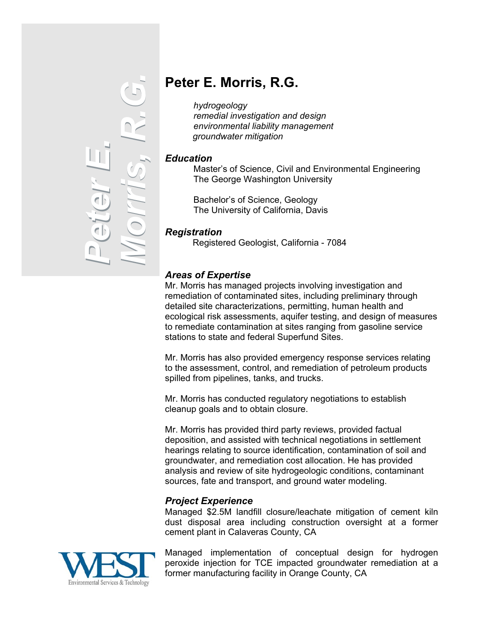

# **Peter E. Morris, R.G.**

*hydrogeology remedial investigation and design environmental liability management groundwater mitigation* 

#### *Education*

Master's of Science, Civil and Environmental Engineering The George Washington University

Bachelor's of Science, Geology The University of California, Davis

#### *Registration*

Registered Geologist, California - 7084

## *Areas of Expertise*

Mr. Morris has managed projects involving investigation and remediation of contaminated sites, including preliminary through detailed site characterizations, permitting, human health and ecological risk assessments, aquifer testing, and design of measures to remediate contamination at sites ranging from gasoline service stations to state and federal Superfund Sites.

Mr. Morris has also provided emergency response services relating to the assessment, control, and remediation of petroleum products spilled from pipelines, tanks, and trucks.

Mr. Morris has conducted regulatory negotiations to establish cleanup goals and to obtain closure.

Mr. Morris has provided third party reviews, provided factual deposition, and assisted with technical negotiations in settlement hearings relating to source identification, contamination of soil and groundwater, and remediation cost allocation. He has provided analysis and review of site hydrogeologic conditions, contaminant sources, fate and transport, and ground water modeling.

### *Project Experience*

Managed \$2.5M landfill closure/leachate mitigation of cement kiln dust disposal area including construction oversight at a former cement plant in Calaveras County, CA



Managed implementation of conceptual design for hydrogen peroxide injection for TCE impacted groundwater remediation at a former manufacturing facility in Orange County, CA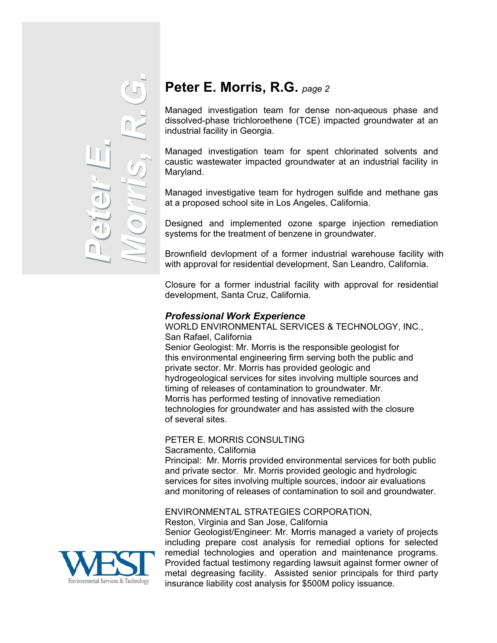

# **Peter E. Morris, R.G.** *page 2*

Managed investigation team for dense non-aqueous phase and dissolved-phase trichloroethene (TCE) impacted groundwater at an industrial facility in Georgia.

Managed investigation team for spent chlorinated solvents and caustic wastewater impacted groundwater at an industrial facility in Maryland.

Managed investigative team for hydrogen sulfide and methane gas at a proposed school site in Los Angeles, California.

Designed and implemented ozone sparge injection remediation systems for the treatment of benzene in groundwater.

Brownfield devlopment of a former industrial warehouse facility with with approval for residential development, San Leandro, California.

Closure for a former industrial facility with approval for residential development, Santa Cruz, California.

#### *Professional Work Experience*

WORLD ENVIRONMENTAL SERVICES & TECHNOLOGY, INC., San Rafael, California Senior Geologist: Mr. Morris is the responsible geologist for this environmental engineering firm serving both the public and private sector. Mr. Morris has provided geologic and hydrogeological services for sites involving multiple sources and timing of releases of contamination to groundwater. Mr. Morris has performed testing of innovative remediation technologies for groundwater and has assisted with the closure of several sites.

# PETER E. MORRIS CONSULTING

Sacramento, California

Principal: Mr. Morris provided environmental services for both public and private sector. Mr. Morris provided geologic and hydrologic services for sites involving multiple sources, indoor air evaluations and monitoring of releases of contamination to soil and groundwater.

#### ENVIRONMENTAL STRATEGIES CORPORATION,

Reston, Virginia and San Jose, California

Senior Geologist/Engineer: Mr. Morris managed a variety of projects including prepare cost analysis for remedial options for selected remedial technologies and operation and maintenance programs. Provided factual testimony regarding lawsuit against former owner of metal degreasing facility. Assisted senior principals for third party insurance liability cost analysis for \$500M policy issuance.